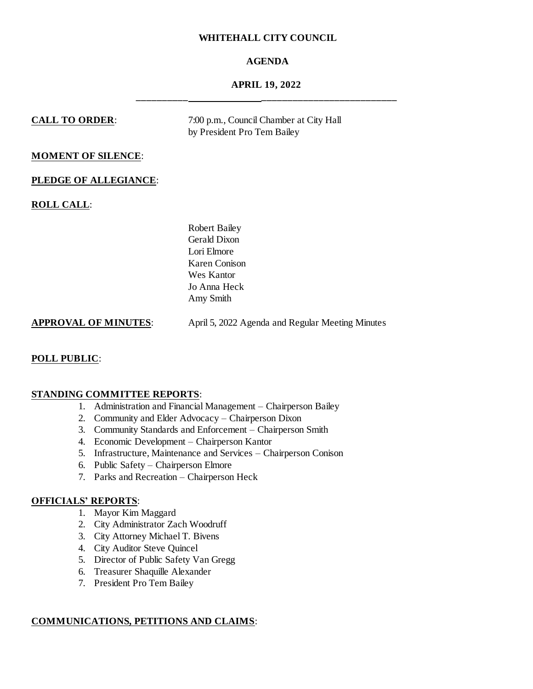# **WHITEHALL CITY COUNCIL**

# **AGENDA**

# **APRIL 19, 2022 \_\_\_\_\_\_\_\_\_\_ \_\_\_\_\_\_\_\_\_\_\_\_\_\_\_\_\_\_\_\_\_\_\_\_\_\_**

# **CALL TO ORDER**: 7:00 p.m., Council Chamber at City Hall by President Pro Tem Bailey **MOMENT OF SILENCE**: **PLEDGE OF ALLEGIANCE**: **ROLL CALL**: Robert Bailey Gerald Dixon Lori Elmore Karen Conison Wes Kantor Jo Anna Heck Amy Smith **APPROVAL OF MINUTES**: April 5, 2022 Agenda and Regular Meeting Minutes

# **POLL PUBLIC**:

## **STANDING COMMITTEE REPORTS**:

- 1. Administration and Financial Management Chairperson Bailey
- 2. Community and Elder Advocacy Chairperson Dixon
- 3. Community Standards and Enforcement Chairperson Smith
- 4. Economic Development Chairperson Kantor
- 5. Infrastructure, Maintenance and Services Chairperson Conison
- 6. Public Safety Chairperson Elmore
- 7. Parks and Recreation Chairperson Heck

## **OFFICIALS' REPORTS**:

- 1. Mayor Kim Maggard
- 2. City Administrator Zach Woodruff
- 3. City Attorney Michael T. Bivens
- 4. City Auditor Steve Quincel
- 5. Director of Public Safety Van Gregg
- 6. Treasurer Shaquille Alexander
- 7. President Pro Tem Bailey

# **COMMUNICATIONS, PETITIONS AND CLAIMS**: